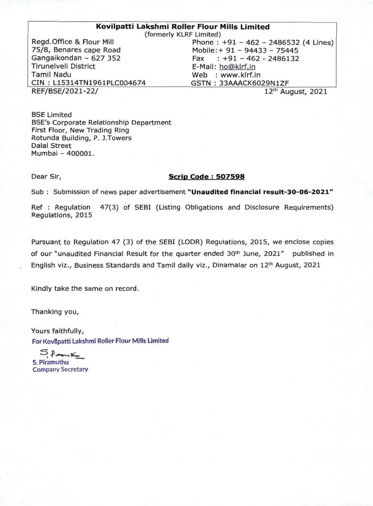## Kovilpatti Lakshmi Roller Flour Mills Limited

Regd.Office & Flour Mill 75/8, Benares cape Road Gangaikondan - 627 352 Tirunelveli District Tamil Nadu CIN : L15314TN1961PLC004674 REF/BSE/2021-22/

(formerly KLRF Limited) Phone: +91 - 462 - 2486532 (4 Lines) Mobile:+ 91 - 94433 - 75445 Fax : +91 - 462 - 2486132 E-Mail: ho@klrf.in Web : www.klrf.in GSTN : 33AAACK6029N1ZF 12th August, 2021

BSE Limited BSE's Corporate Relationship Department First Floor, New Trading Ring Rotunda Building, P. J.Towers Dalai Street Mumbai - 400001.

Dear Sir,

## Scrip Code: 507598

Sub : Submission of news paper advertisement "Unaudited financial result-30-06-2021"

Ref : Regulation 47(3) of SEBI (Listing Obligations and Disclosure Requirements) Regulations, 2015

Pursuant to Regulation 47 (3) of the SEBI (LODR) Regulations, 2015, we enclose copies of our "unaudited Financial Result for the quarter ended 30<sup>th</sup> June, 2021" published in English viz., Business Standards and Tamil daily viz., Dinamalar on 12th August, 2021

Kindly take the same on record.

Thanking you,

Yours faithfully, For KovIlpatti Lakshmi Roller Flour Mills Limited

 $S_{\text{P}}$ S. Piramuthu Company Secretary